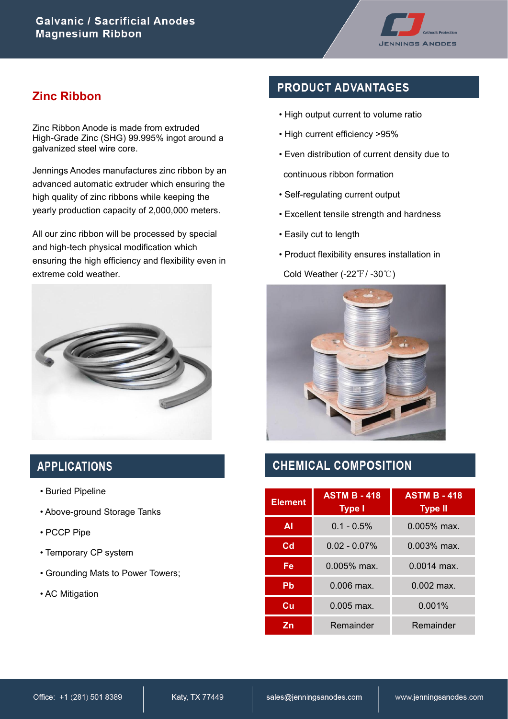

## **Zinc Ribbon**

Zinc Ribbon Anode is made from extruded High-Grade Zinc (SHG) 99.995% ingot around a galvanized steel wire core.

Jennings Anodes manufactures zinc ribbon by an advanced automatic extruder which ensuring the high quality of zinc ribbons while keeping the yearly production capacity of 2,000,000 meters.

All our zinc ribbon will be processed by special and high-tech physical modification which ensuring the high efficiency and flexibility even in extreme cold weather.



## **APPLICATIONS**

- Buried Pipeline
- Above-ground Storage Tanks
- PCCP Pipe
- Temporary CP system
- Grounding Mats to Power Towers;
- AC Mitigation

## **PRODUCT ADVANTAGES**

- High output current to volume ratio
- High current efficiency >95%
- Even distribution of current density due to continuous ribbon formation
- Self-regulating current output
- Excellent tensile strength and hardness
- Easily cut to length
- Product flexibility ensures installation in

Cold Weather (-22℉/ -30℃)



## **CHEMICAL COMPOSITION**

| <b>Element</b> | <b>ASTM B - 418</b><br><b>Type I</b> | <b>ASTM B - 418</b><br><b>Type II</b> |  |
|----------------|--------------------------------------|---------------------------------------|--|
| ΑI             | $0.1 - 0.5\%$                        | $0.005%$ max.                         |  |
| $_{\rm cd}$    | $0.02 - 0.07\%$                      | 0.003% max.                           |  |
| Fe             | $0.005\%$ max.                       | $0.0014$ max.                         |  |
| Pb             | 0.006 max.                           | $0.002$ max.                          |  |
| Cu             | $0.005$ max.                         | 0.001%                                |  |
| Zn             | Remainder                            | Remainder                             |  |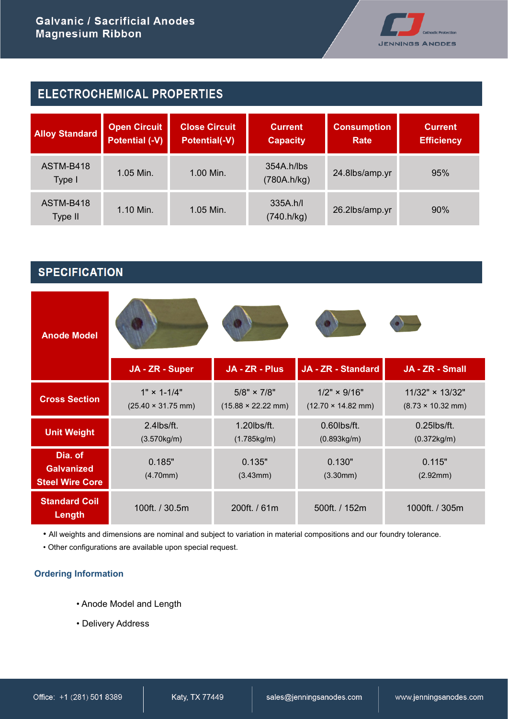

| <b>ELECTROCHEMICAL PROPERTIES</b> |                                              |                                              |                                       |                            |                                     |
|-----------------------------------|----------------------------------------------|----------------------------------------------|---------------------------------------|----------------------------|-------------------------------------|
| <b>Alloy Standard</b>             | <b>Open Circuit</b><br><b>Potential (-V)</b> | <b>Close Circuit</b><br><b>Potential(-V)</b> | <b>Current</b><br><b>Capacity</b>     | <b>Consumption</b><br>Rate | <b>Current</b><br><b>Efficiency</b> |
| ASTM-B418<br>Type I               | 1.05 Min.                                    | 1.00 Min.                                    | 354A <sub>h</sub> /lbs<br>(780A.h/kg) | 24.8lbs/amp.yr             | 95%                                 |
| ASTM-B418<br>Type II              | 1.10 Min.                                    | $1.05$ Min.                                  | 335A <sub>h</sub> /I<br>(740.h/kg)    | 26.2lbs/amp.yr             | 90%                                 |

# **SPECIFICATION**

| <b>Anode Model</b>                          | JA - ZR - Super           | JA - ZR - Plus                    | JA - ZR - Standard                | JA - ZR - Small                  |
|---------------------------------------------|---------------------------|-----------------------------------|-----------------------------------|----------------------------------|
|                                             | $1" \times 1 - 1/4"$      | $5/8" \times 7/8"$                | $1/2" \times 9/16"$               | 11/32" × 13/32"                  |
| <b>Cross Section</b>                        | $(25.40 \times 31.75$ mm) | $(15.88 \times 22.22 \text{ mm})$ | $(12.70 \times 14.82 \text{ mm})$ | $(8.73 \times 10.32 \text{ mm})$ |
| <b>Unit Weight</b>                          | 2.4lbs/ft.                | 1.20lbs/ft.                       | $0.60$ lbs/ft.                    | $0.25$ lbs/ft.                   |
|                                             | (3.570kg/m)               | (1.785kg/m)                       | (0.893kg/m)                       | (0.372kg/m)                      |
| Dia. of                                     | 0.185"                    | 0.135"                            | 0.130"                            | 0.115"                           |
| <b>Galvanized</b><br><b>Steel Wire Core</b> | (4.70mm)                  | (3.43mm)                          | (3.30mm)                          | (2.92mm)                         |
| <b>Standard Coil</b><br>Length              | 100ft. / 30.5m            | 200ft. / 61m                      | 500ft. / 152m                     | 1000ft. / 305m                   |

• All weights and dimensions are nominal and subject to variation in material compositions and our foundry tolerance.

• Other configurations are available upon special request.

#### **Ordering Information**

- Anode Model and Length
- Delivery Address